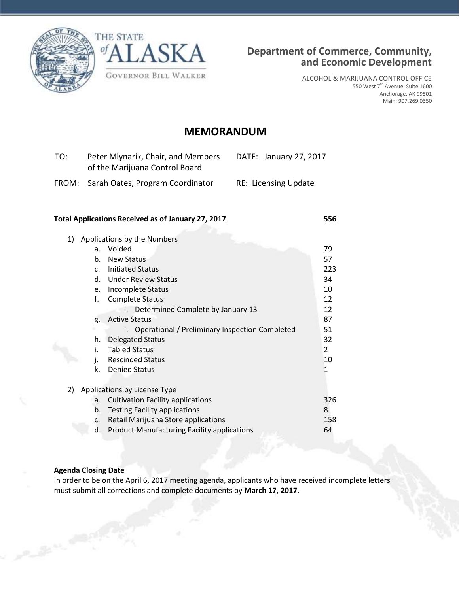



ALCOHOL & MARIJUANA CONTROL OFFICE 550 West 7<sup>th</sup> Avenue, Suite 1600 Anchorage, AK 99501 Main: 907.269.0350

# **MEMORANDUM**

| TO: | Peter Mlynarik, Chair, and Members<br>of the Marijuana Control Board | DATE: January 27, 2017      |
|-----|----------------------------------------------------------------------|-----------------------------|
|     | FROM: Sarah Oates, Program Coordinator                               | <b>RE: Licensing Update</b> |

#### **Total Applications Received as of January 27, 2017 556**

| 1) | Applications by the Numbers |                                                    |                |  |
|----|-----------------------------|----------------------------------------------------|----------------|--|
|    | a.                          | Voided                                             | 79             |  |
|    | b.                          | <b>New Status</b>                                  | 57             |  |
|    | $C_{\star}$                 | <b>Initiated Status</b>                            | 223            |  |
|    | d.                          | <b>Under Review Status</b>                         | 34             |  |
|    | e.                          | <b>Incomplete Status</b>                           | 10             |  |
|    | f.                          | <b>Complete Status</b>                             | 12             |  |
|    |                             | Determined Complete by January 13                  | 12             |  |
|    | g.                          | <b>Active Status</b>                               | 87             |  |
|    |                             | Operational / Preliminary Inspection Completed     | 51             |  |
|    | h.                          | <b>Delegated Status</b>                            | 32             |  |
|    | i.                          | <b>Tabled Status</b>                               | $\overline{2}$ |  |
|    | j.                          | <b>Rescinded Status</b>                            | 10             |  |
|    | k.                          | <b>Denied Status</b>                               | 1              |  |
|    |                             |                                                    |                |  |
| 2) |                             | Applications by License Type                       |                |  |
|    | a.                          | <b>Cultivation Facility applications</b>           | 326            |  |
|    | b.                          | <b>Testing Facility applications</b>               | 8              |  |
|    | C.                          | Retail Marijuana Store applications                | 158            |  |
|    | d.                          | <b>Product Manufacturing Facility applications</b> | 64             |  |

### **Agenda Closing Date**

In order to be on the April 6, 2017 meeting agenda, applicants who have received incomplete letters must submit all corrections and complete documents by **March 17, 2017**.